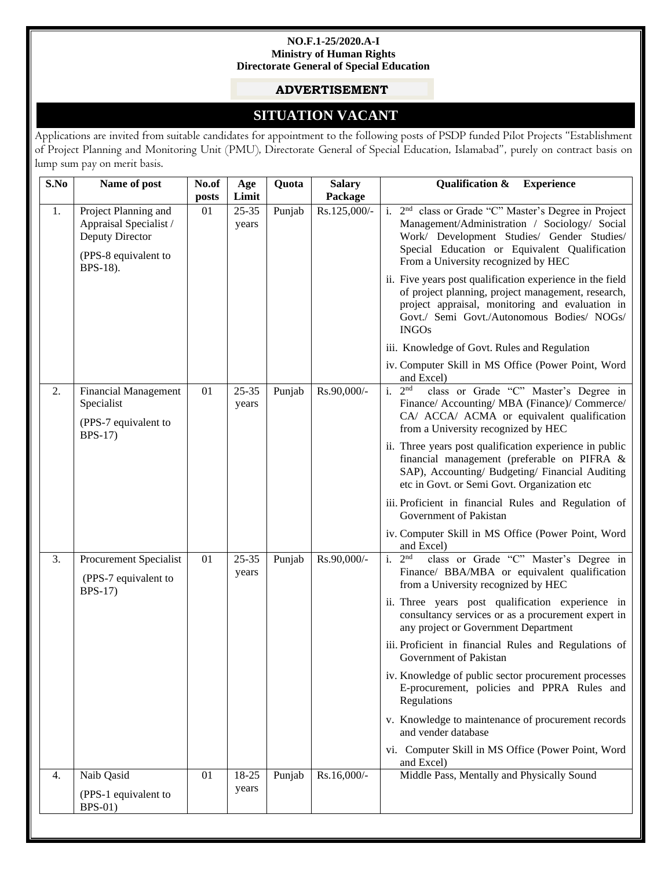#### **NO.F.1-25/2020.A-I Ministry of Human Rights Directorate General of Special Education**

### **ADVERTISEMENT**

# **SITUATION VACANT**

Applications are invited from suitable candidates for appointment to the following posts of PSDP funded Pilot Projects "Establishment of Project Planning and Monitoring Unit (PMU), Directorate General of Special Education, Islamabad", purely on contract basis on lump sum pay on merit basis.

| Package<br>posts<br>01<br>Rs.125,000/-<br>1.<br>Project Planning and<br>$25 - 35$<br>Punjab<br>Appraisal Specialist /<br>years<br>Deputy Director<br>(PPS-8 equivalent to<br>From a University recognized by HEC<br>BPS-18).<br><b>INGOs</b><br>iii. Knowledge of Govt. Rules and Regulation<br>and Excel)<br>i. $2nd$<br>Rs.90,000/-<br>01<br>$25 - 35$<br>Punjab<br>2.<br><b>Financial Management</b><br>Specialist<br>years<br>(PPS-7 equivalent to<br>from a University recognized by HEC<br><b>BPS-17)</b><br>etc in Govt. or Semi Govt. Organization etc<br>Government of Pakistan<br>and Excel)<br>i. $2^{\overline{nd}}$<br>class or Grade "C" Master's Degree in<br><b>Procurement Specialist</b><br>01<br>$25 - 35$<br>Punjab<br>Rs.90,000/-<br>3.<br>years<br>(PPS-7 equivalent to<br>from a University recognized by HEC<br><b>BPS-17)</b><br>any project or Government Department<br>Government of Pakistan<br>Regulations<br>and vender database<br>and Excel)<br>Middle Pass, Mentally and Physically Sound<br>Naib Qasid<br>Punjab<br>18-25<br>Rs.16,000/-<br>01<br>4.<br>years<br>(PPS-1 equivalent to<br><b>BPS-01)</b> |  | S.No | Name of post | No.of | Age   | Quota | <b>Salary</b> | <b>Qualification &amp;</b><br><b>Experience</b>                                                                                                                                                                  |
|-------------------------------------------------------------------------------------------------------------------------------------------------------------------------------------------------------------------------------------------------------------------------------------------------------------------------------------------------------------------------------------------------------------------------------------------------------------------------------------------------------------------------------------------------------------------------------------------------------------------------------------------------------------------------------------------------------------------------------------------------------------------------------------------------------------------------------------------------------------------------------------------------------------------------------------------------------------------------------------------------------------------------------------------------------------------------------------------------------------------------------------------|--|------|--------------|-------|-------|-------|---------------|------------------------------------------------------------------------------------------------------------------------------------------------------------------------------------------------------------------|
|                                                                                                                                                                                                                                                                                                                                                                                                                                                                                                                                                                                                                                                                                                                                                                                                                                                                                                                                                                                                                                                                                                                                           |  |      |              |       | Limit |       |               |                                                                                                                                                                                                                  |
|                                                                                                                                                                                                                                                                                                                                                                                                                                                                                                                                                                                                                                                                                                                                                                                                                                                                                                                                                                                                                                                                                                                                           |  |      |              |       |       |       |               | i. 2 <sup>nd</sup> class or Grade "C" Master's Degree in Project<br>Management/Administration / Sociology/ Social<br>Work/ Development Studies/ Gender Studies/<br>Special Education or Equivalent Qualification |
|                                                                                                                                                                                                                                                                                                                                                                                                                                                                                                                                                                                                                                                                                                                                                                                                                                                                                                                                                                                                                                                                                                                                           |  |      |              |       |       |       |               | ii. Five years post qualification experience in the field<br>of project planning, project management, research,<br>project appraisal, monitoring and evaluation in<br>Govt./ Semi Govt./Autonomous Bodies/ NOGs/ |
|                                                                                                                                                                                                                                                                                                                                                                                                                                                                                                                                                                                                                                                                                                                                                                                                                                                                                                                                                                                                                                                                                                                                           |  |      |              |       |       |       |               |                                                                                                                                                                                                                  |
|                                                                                                                                                                                                                                                                                                                                                                                                                                                                                                                                                                                                                                                                                                                                                                                                                                                                                                                                                                                                                                                                                                                                           |  |      |              |       |       |       |               | iv. Computer Skill in MS Office (Power Point, Word                                                                                                                                                               |
|                                                                                                                                                                                                                                                                                                                                                                                                                                                                                                                                                                                                                                                                                                                                                                                                                                                                                                                                                                                                                                                                                                                                           |  |      |              |       |       |       |               | class or Grade "C" Master's Degree in<br>Finance/ Accounting/ MBA (Finance)/ Commerce/<br>CA/ ACCA/ ACMA or equivalent qualification                                                                             |
|                                                                                                                                                                                                                                                                                                                                                                                                                                                                                                                                                                                                                                                                                                                                                                                                                                                                                                                                                                                                                                                                                                                                           |  |      |              |       |       |       |               | ii. Three years post qualification experience in public<br>financial management (preferable on PIFRA &<br>SAP), Accounting/ Budgeting/ Financial Auditing                                                        |
|                                                                                                                                                                                                                                                                                                                                                                                                                                                                                                                                                                                                                                                                                                                                                                                                                                                                                                                                                                                                                                                                                                                                           |  |      |              |       |       |       |               | iii. Proficient in financial Rules and Regulation of                                                                                                                                                             |
|                                                                                                                                                                                                                                                                                                                                                                                                                                                                                                                                                                                                                                                                                                                                                                                                                                                                                                                                                                                                                                                                                                                                           |  |      |              |       |       |       |               | iv. Computer Skill in MS Office (Power Point, Word                                                                                                                                                               |
|                                                                                                                                                                                                                                                                                                                                                                                                                                                                                                                                                                                                                                                                                                                                                                                                                                                                                                                                                                                                                                                                                                                                           |  |      |              |       |       |       |               | Finance/ BBA/MBA or equivalent qualification                                                                                                                                                                     |
|                                                                                                                                                                                                                                                                                                                                                                                                                                                                                                                                                                                                                                                                                                                                                                                                                                                                                                                                                                                                                                                                                                                                           |  |      |              |       |       |       |               | ii. Three years post qualification experience in<br>consultancy services or as a procurement expert in                                                                                                           |
|                                                                                                                                                                                                                                                                                                                                                                                                                                                                                                                                                                                                                                                                                                                                                                                                                                                                                                                                                                                                                                                                                                                                           |  |      |              |       |       |       |               | iii. Proficient in financial Rules and Regulations of                                                                                                                                                            |
|                                                                                                                                                                                                                                                                                                                                                                                                                                                                                                                                                                                                                                                                                                                                                                                                                                                                                                                                                                                                                                                                                                                                           |  |      |              |       |       |       |               | iv. Knowledge of public sector procurement processes<br>E-procurement, policies and PPRA Rules and                                                                                                               |
|                                                                                                                                                                                                                                                                                                                                                                                                                                                                                                                                                                                                                                                                                                                                                                                                                                                                                                                                                                                                                                                                                                                                           |  |      |              |       |       |       |               | v. Knowledge to maintenance of procurement records                                                                                                                                                               |
|                                                                                                                                                                                                                                                                                                                                                                                                                                                                                                                                                                                                                                                                                                                                                                                                                                                                                                                                                                                                                                                                                                                                           |  |      |              |       |       |       |               | vi. Computer Skill in MS Office (Power Point, Word                                                                                                                                                               |
|                                                                                                                                                                                                                                                                                                                                                                                                                                                                                                                                                                                                                                                                                                                                                                                                                                                                                                                                                                                                                                                                                                                                           |  |      |              |       |       |       |               |                                                                                                                                                                                                                  |
|                                                                                                                                                                                                                                                                                                                                                                                                                                                                                                                                                                                                                                                                                                                                                                                                                                                                                                                                                                                                                                                                                                                                           |  |      |              |       |       |       |               |                                                                                                                                                                                                                  |